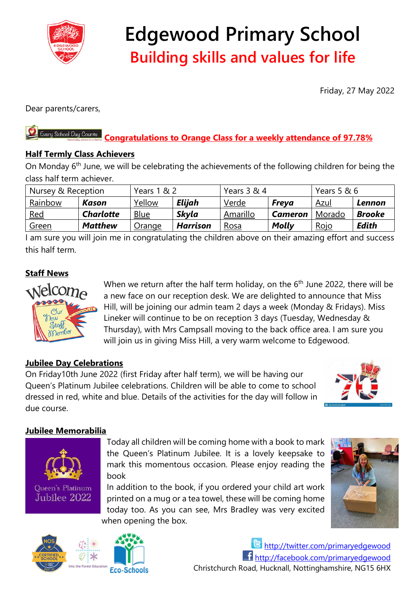

# **Edgewood Primary School Building skills and values for life**

Friday, 27 May 2022

Dear parents/carers,

#### Every School Day Counts **Congratulations to Orange Class for a weekly attendance of 97.78%**

### **Half Termly Class Achievers**

On Monday 6<sup>th</sup> June, we will be celebrating the achievements of the following children for being the class half term achiever.

| Nursey & Reception |                  | Years 1 & 2 |                 | Years 3 & 4 |                | Years 5 & 6 |               |
|--------------------|------------------|-------------|-----------------|-------------|----------------|-------------|---------------|
| Rainbow            | Kason            | Yellow      | Elijah          | Verde       | <b>Freva</b>   | <u>Azul</u> | Lennon        |
| <u>Red</u>         | <b>Charlotte</b> | Blue        | <b>Skyla</b>    | Amarillo    | <b>Cameron</b> | Morado      | <b>Brooke</b> |
| <u>Green</u>       | <b>Matthew</b>   | Orange      | <b>Harrison</b> | <u>Rosa</u> | Molly          | Rojo        | Edith         |

I am sure you will join me in congratulating the children above on their amazing effort and success this half term.

## **Staff News**



When we return after the half term holiday, on the  $6<sup>th</sup>$  June 2022, there will be a new face on our reception desk. We are delighted to announce that Miss Hill, will be joining our admin team 2 days a week (Monday & Fridays). Miss Lineker will continue to be on reception 3 days (Tuesday, Wednesday & Thursday), with Mrs Campsall moving to the back office area. I am sure you will join us in giving Miss Hill, a very warm welcome to Edgewood.

### **Jubilee Day Celebrations**

On Friday10th June 2022 (first Friday after half term), we will be having our Queen's Platinum Jubilee celebrations. Children will be able to come to school dressed in red, white and blue. Details of the activities for the day will follow in due course.



#### **Jubilee Memorabilia**



Today all children will be coming home with a book to mark the Queen's Platinum Jubilee. It is a lovely keepsake to mark this momentous occasion. Please enjoy reading the book

In addition to the book, if you ordered your child art work printed on a mug or a tea towel, these will be coming home today too. As you can see, Mrs Bradley was very excited when opening the box.



<http://twitter.com/primaryedgewood> <http://facebook.com/primaryedgewood> Christchurch Road, Hucknall, Nottinghamshire, NG15 6HX